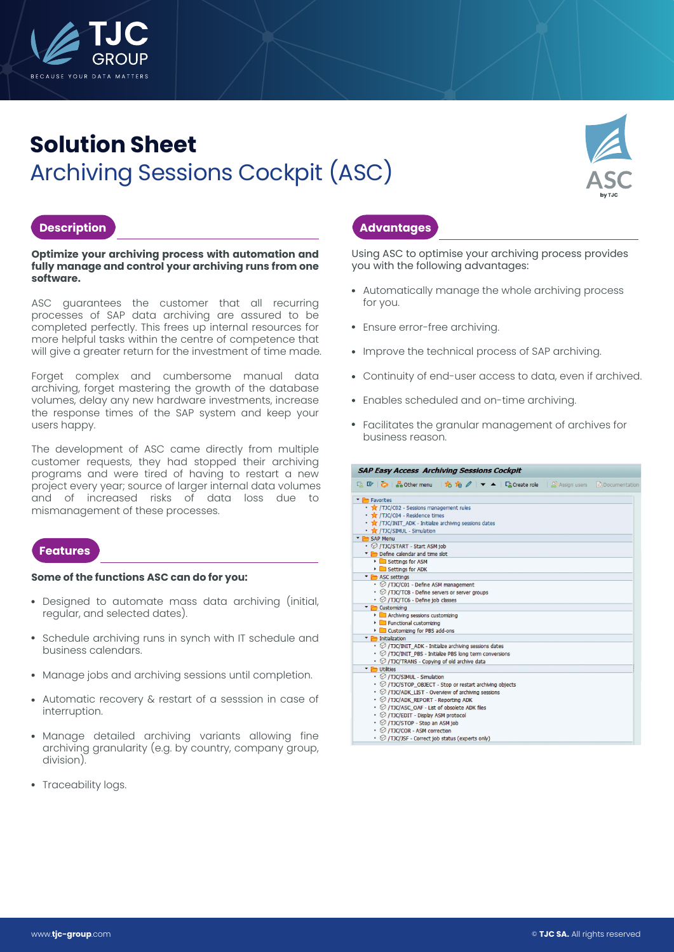

# **Solution Sheet** Archiving Sessions Cockpit (ASC)



### **Description**

**Optimize your archiving process with automation and fully manage and control your archiving runs from one software.**

ASC guarantees the customer that all recurring processes of SAP data archiving are assured to be completed perfectly. This frees up internal resources for more helpful tasks within the centre of competence that will give a greater return for the investment of time made.

Forget complex and cumbersome manual data archiving, forget mastering the growth of the database volumes, delay any new hardware investments, increase the response times of the SAP system and keep your users happy.

The development of ASC came directly from multiple customer requests, they had stopped their archiving programs and were tired of having to restart a new project every year; source of larger internal data volumes and of increased risks of data loss due to mismanagement of these processes.

### **Features**

#### **Some of the functions ASC can do for you:**

- Designed to automate mass data archiving (initial, regular, and selected dates).
- Schedule archiving runs in synch with IT schedule and business calendars.
- Manage jobs and archiving sessions until completion.
- Automatic recovery & restart of a sesssion in case of interruption.
- Manage detailed archiving variants allowing fine archiving granularity (e.g. by country, company group, division).
- Traceability logs.

## **Advantages**

Using ASC to optimise your archiving process provides you with the following advantages:

- Automatically manage the whole archiving process for you.
- Ensure error-free archiving.
- Improve the technical process of SAP archiving.
- Continuity of end-user access to data, even if archived.
- Enables scheduled and on-time archiving.
- Facilitates the granular management of archives for business reason.

| The Favorites                                                          |  |
|------------------------------------------------------------------------|--|
| TJC/C02 - Sessions management rules                                    |  |
| TJC/C04 - Residence times                                              |  |
| • * /TJC/INIT_ADK - Initialize archiving sessions dates                |  |
| • * /TJC/SIMUL - Simulation                                            |  |
| SAP Menu                                                               |  |
| • @ /TJC/START - Start ASM job                                         |  |
| Define calendar and time slot                                          |  |
| Settings for ASM                                                       |  |
| Settings for ADK                                                       |  |
| ASC settings                                                           |  |
| $\cdot$ $\oslash$ /TJC/C01 - Define ASM management                     |  |
| • © /TJC/TC8 - Define servers or server groups                         |  |
| • Ø /TJC/TC6 - Define job classes                                      |  |
| Customizing                                                            |  |
| Archiving sessions customizing                                         |  |
| Functional customizing                                                 |  |
| Customizing for PBS add-ons                                            |  |
| Thitialization                                                         |  |
| $\cdot$ $\odot$ /TJC/INIT_ADK - Initialize archiving sessions dates    |  |
| • Ø /TJC/INIT_PBS - Initialize PBS long term conversions               |  |
| $\cdot$ $\oslash$ /TJC/TRANS - Copying of old archive data             |  |
| <b>TE</b> Utilities                                                    |  |
| · @ /TJC/SIMUL - Simulation                                            |  |
| $\cdot$ $\oslash$ /TJC/STOP OBJECT - Stop or restart archiving objects |  |
| $\cdot$ $\odot$ /TJC/ADK LIST - Overview of archiving sessions         |  |
| $\cdot$ $\oslash$ /TJC/ADK REPORT - Reporting ADK                      |  |
| • Ø /TJC/ASC OAF - List of obsolete ADK files                          |  |
| • © /TJC/EDIT - Display ASM protocol                                   |  |
| · @ /TJC/STOP - Stop an ASM job                                        |  |
| • @ /TJC/COR - ASM correction                                          |  |
| • 1TJC/JSF - Correct job status (experts only)                         |  |